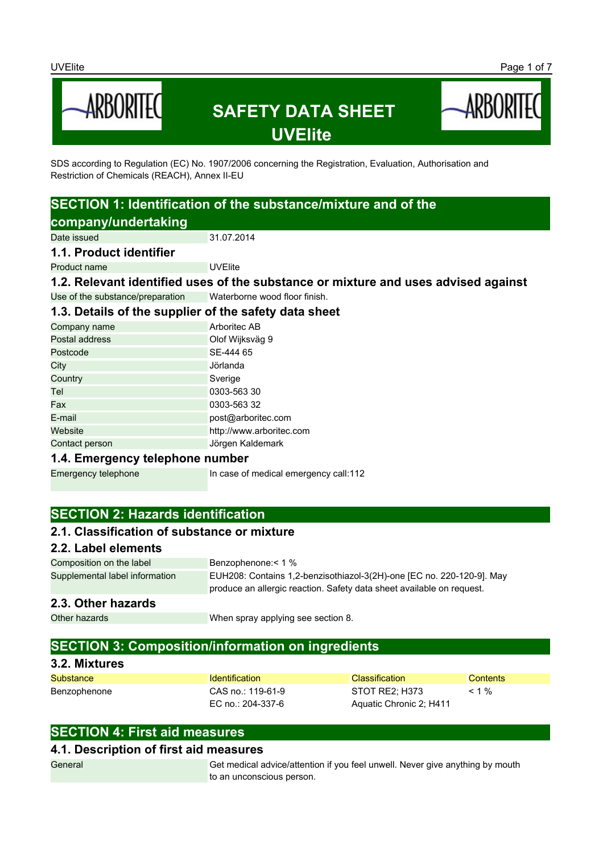

SDS according to Regulation (EC) No. 1907/2006 concerning the Registration, Evaluation, Authorisation and Restriction of Chemicals (REACH), Annex II-EU

# **SECTION 1: Identification of the substance/mixture and of the company/undertaking**

Date issued 31.07.2014

#### **1.1. Product identifier**

Product name UVEIIte

**1.2. Relevant identified uses of the substance or mixture and uses advised against**

Use of the substance/preparation Waterborne wood floor finish.

# **1.3. Details of the supplier of the safety data sheet**

| Company name   | Arboritec AB             |
|----------------|--------------------------|
| Postal address | Olof Wijksväg 9          |
| Postcode       | SE-444 65                |
| City           | Jörlanda                 |
| Country        | Sverige                  |
| Tel            | 0303-563 30              |
| Fax            | 0303-563 32              |
| E-mail         | post@arboritec.com       |
| Website        | http://www.arboritec.com |
| Contact person | Jörgen Kaldemark         |
|                |                          |

### **1.4. Emergency telephone number**

Emergency telephone In case of medical emergency call:112

# **SECTION 2: Hazards identification**

### **2.1. Classification of substance or mixture**

### **2.2. Label elements**

Composition on the label Benzophenone: < 1 % Supplemental label information EUH208: Contains 1,2-benzisothiazol-3(2H)-one [EC no. 220-120-9]. May produce an allergic reaction. Safety data sheet available on request.

### **2.3. Other hazards**

Other hazards **When spray applying see section 8.** 

# **SECTION 3: Composition/information on ingredients**

### **3.2. Mixtures**

| Substance    | <b>Identification</b> | Classification          | Contents |
|--------------|-----------------------|-------------------------|----------|
| Benzophenone | CAS no.: 119-61-9     | STOT RE2: H373          | $< 1 \%$ |
|              | EC no.: 204-337-6     | Aquatic Chronic 2; H411 |          |

# **SECTION 4: First aid measures**

### **4.1. Description of first aid measures**

General Get medical advice/attention if you feel unwell. Never give anything by mouth to an unconscious person.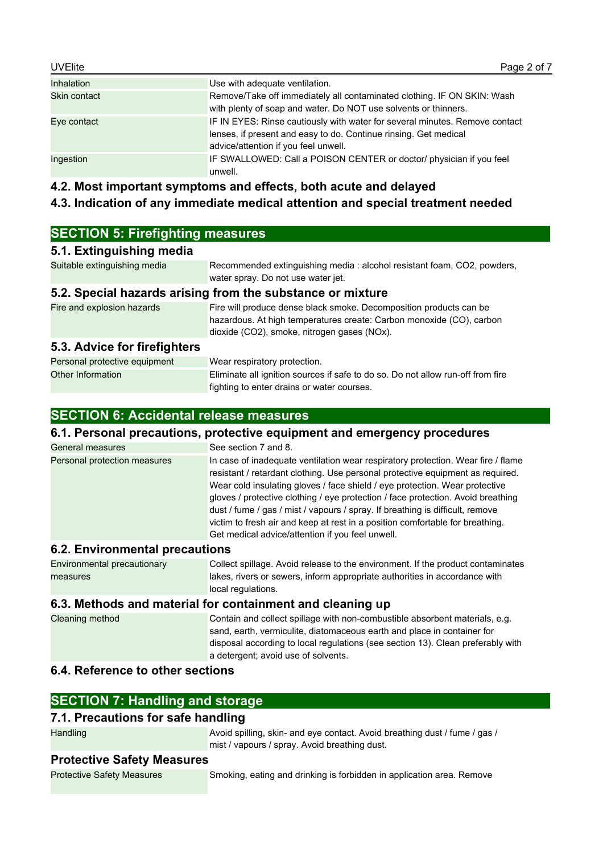| <b>UVElite</b>    | Page 2 of 7                                                                                                                                                                             |
|-------------------|-----------------------------------------------------------------------------------------------------------------------------------------------------------------------------------------|
| <b>Inhalation</b> | Use with adequate ventilation.                                                                                                                                                          |
| Skin contact      | Remove/Take off immediately all contaminated clothing. IF ON SKIN: Wash<br>with plenty of soap and water. Do NOT use solvents or thinners.                                              |
| Eye contact       | IF IN EYES: Rinse cautiously with water for several minutes. Remove contact<br>lenses, if present and easy to do. Continue rinsing. Get medical<br>advice/attention if you feel unwell. |
| Ingestion         | IF SWALLOWED: Call a POISON CENTER or doctor/ physician if you feel<br>unwell.                                                                                                          |

**4.2. Most important symptoms and effects, both acute and delayed**

### **4.3. Indication of any immediate medical attention and special treatment needed**

| <b>SECTION 5: Firefighting measures</b> |  |
|-----------------------------------------|--|
|                                         |  |

### **5.1. Extinguishing media**

| Suitable extinguishing media | Recommended extinguishing media: alcohol resistant foam, CO2, powders, |
|------------------------------|------------------------------------------------------------------------|
|                              | water spray. Do not use water jet.                                     |
|                              |                                                                        |

### **5.2. Special hazards arising from the substance or mixture**

Fire and explosion hazards Fire will produce dense black smoke. Decomposition products can be hazardous. At high temperatures create: Carbon monoxide (CO), carbon dioxide (CO2), smoke, nitrogen gases (NOx).

### **5.3. Advice for firefighters**

| Personal protective equipment | Wear respiratory protection.                                                    |
|-------------------------------|---------------------------------------------------------------------------------|
| Other Information             | Eliminate all ignition sources if safe to do so. Do not allow run-off from fire |
|                               | fighting to enter drains or water courses.                                      |

# **SECTION 6: Accidental release measures**

### **6.1. Personal precautions, protective equipment and emergency procedures**

| General measures                      | See section 7 and 8.                                                                                                                                                                                                                                                                                                                                                                                                                                                                                                                                        |
|---------------------------------------|-------------------------------------------------------------------------------------------------------------------------------------------------------------------------------------------------------------------------------------------------------------------------------------------------------------------------------------------------------------------------------------------------------------------------------------------------------------------------------------------------------------------------------------------------------------|
| Personal protection measures          | In case of inadequate ventilation wear respiratory protection. Wear fire / flame<br>resistant / retardant clothing. Use personal protective equipment as required.<br>Wear cold insulating gloves / face shield / eye protection. Wear protective<br>gloves / protective clothing / eye protection / face protection. Avoid breathing<br>dust / fume / gas / mist / vapours / spray. If breathing is difficult, remove<br>victim to fresh air and keep at rest in a position comfortable for breathing.<br>Get medical advice/attention if you feel unwell. |
| <b>6.2. Environmental precautions</b> |                                                                                                                                                                                                                                                                                                                                                                                                                                                                                                                                                             |

### **6.2. Environmental precautions**

Environmental precautionary measures Collect spillage. Avoid release to the environment. If the product contaminates lakes, rivers or sewers, inform appropriate authorities in accordance with local regulations.

### **6.3. Methods and material for containment and cleaning up**

Cleaning method Contain and collect spillage with non-combustible absorbent materials, e.g. sand, earth, vermiculite, diatomaceous earth and place in container for disposal according to local regulations (see section 13). Clean preferably with a detergent; avoid use of solvents.

### **6.4. Reference to other sections**

# **SECTION 7: Handling and storage**

### **7.1. Precautions for safe handling**

Handling **Avoid spilling, skin- and eye contact. Avoid breathing dust / fume / gas /** mist / vapours / spray. Avoid breathing dust.

### **Protective Safety Measures**

Protective Safety Measures Smoking, eating and drinking is forbidden in application area. Remove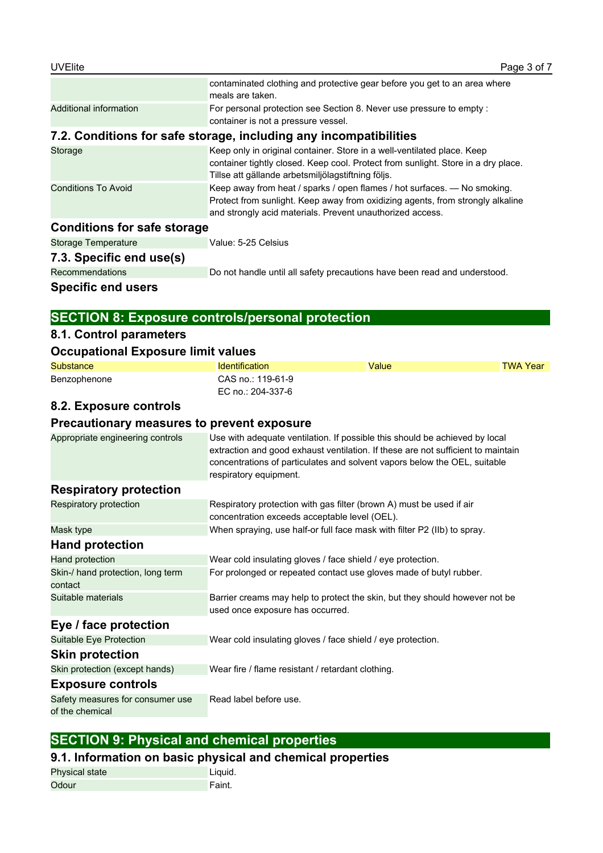|                                    | contaminated clothing and protective gear before you get to an area where<br>meals are taken.                                                                                                                           |
|------------------------------------|-------------------------------------------------------------------------------------------------------------------------------------------------------------------------------------------------------------------------|
| Additional information             | For personal protection see Section 8. Never use pressure to empty:<br>container is not a pressure vessel.                                                                                                              |
|                                    | 7.2. Conditions for safe storage, including any incompatibilities                                                                                                                                                       |
| Storage                            | Keep only in original container. Store in a well-ventilated place. Keep<br>container tightly closed. Keep cool. Protect from sunlight. Store in a dry place.<br>Tillse att gällande arbetsmiljölagstiftning följs.      |
| <b>Conditions To Avoid</b>         | Keep away from heat / sparks / open flames / hot surfaces. - No smoking.<br>Protect from sunlight. Keep away from oxidizing agents, from strongly alkaline<br>and strongly acid materials. Prevent unauthorized access. |
| <b>Conditions for safe storage</b> |                                                                                                                                                                                                                         |
| <b>Storage Temperature</b>         | Value: 5-25 Celsius                                                                                                                                                                                                     |
| 7.3. Specific end use(s)           |                                                                                                                                                                                                                         |
| <b>Recommendations</b>             | Do not handle until all safety precautions have been read and understood.                                                                                                                                               |
| Specific end users                 |                                                                                                                                                                                                                         |

# **SECTION 8: Exposure controls/personal protection**

# **8.1. Control parameters**

### **Occupational Exposure limit values**

| Substance    | <b>Identification</b>                  | Value | TWA Year |
|--------------|----------------------------------------|-------|----------|
| Benzophenone | CAS no.: 119-61-9<br>EC no.: 204-337-6 |       |          |
|              |                                        |       |          |

# **8.2. Exposure controls**

# **Precautionary measures to prevent exposure**

| Appropriate engineering controls                    | Use with adequate ventilation. If possible this should be achieved by local<br>extraction and good exhaust ventilation. If these are not sufficient to maintain<br>concentrations of particulates and solvent vapors below the OEL, suitable<br>respiratory equipment. |
|-----------------------------------------------------|------------------------------------------------------------------------------------------------------------------------------------------------------------------------------------------------------------------------------------------------------------------------|
| <b>Respiratory protection</b>                       |                                                                                                                                                                                                                                                                        |
| Respiratory protection                              | Respiratory protection with gas filter (brown A) must be used if air<br>concentration exceeds acceptable level (OEL).                                                                                                                                                  |
| Mask type                                           | When spraying, use half-or full face mask with filter P2 (IIb) to spray.                                                                                                                                                                                               |
| <b>Hand protection</b>                              |                                                                                                                                                                                                                                                                        |
| Hand protection                                     | Wear cold insulating gloves / face shield / eye protection.                                                                                                                                                                                                            |
| Skin-/ hand protection, long term<br>contact        | For prolonged or repeated contact use gloves made of butyl rubber.                                                                                                                                                                                                     |
| Suitable materials                                  | Barrier creams may help to protect the skin, but they should however not be<br>used once exposure has occurred.                                                                                                                                                        |
| Eye / face protection                               |                                                                                                                                                                                                                                                                        |
| Suitable Eye Protection                             | Wear cold insulating gloves / face shield / eye protection.                                                                                                                                                                                                            |
| <b>Skin protection</b>                              |                                                                                                                                                                                                                                                                        |
| Skin protection (except hands)                      | Wear fire / flame resistant / retardant clothing.                                                                                                                                                                                                                      |
| <b>Exposure controls</b>                            |                                                                                                                                                                                                                                                                        |
| Safety measures for consumer use<br>of the chemical | Read label before use.                                                                                                                                                                                                                                                 |

# **SECTION 9: Physical and chemical properties**

# **9.1. Information on basic physical and chemical properties**

| <b>Physical state</b> | Liquid. |
|-----------------------|---------|
| Odour                 | Faint.  |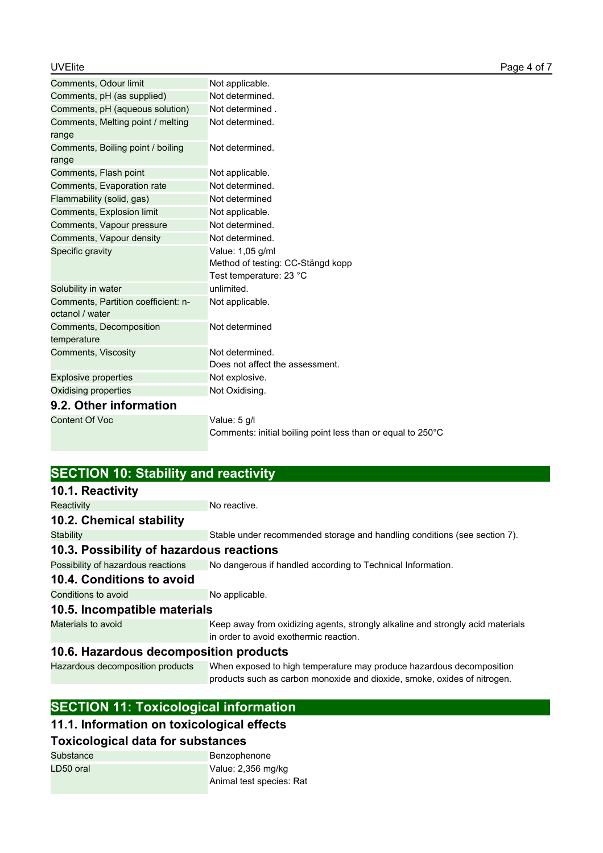| Comments, Odour limit                                  | Not applicable.                                             |
|--------------------------------------------------------|-------------------------------------------------------------|
| Comments, pH (as supplied)                             | Not determined.                                             |
| Comments, pH (aqueous solution)                        | Not determined.                                             |
| Comments, Melting point / melting<br>range             | Not determined.                                             |
| Comments, Boiling point / boiling<br>range             | Not determined.                                             |
| Comments, Flash point                                  | Not applicable.                                             |
| Comments, Evaporation rate                             | Not determined.                                             |
| Flammability (solid, gas)                              | Not determined                                              |
| Comments, Explosion limit                              | Not applicable.                                             |
| Comments, Vapour pressure                              | Not determined.                                             |
| Comments, Vapour density                               | Not determined.                                             |
| Specific gravity                                       | Value: 1,05 g/ml                                            |
|                                                        | Method of testing: CC-Stängd kopp                           |
|                                                        | Test temperature: 23 °C                                     |
| Solubility in water                                    | unlimited.                                                  |
| Comments, Partition coefficient: n-<br>octanol / water | Not applicable.                                             |
| Comments, Decomposition<br>temperature                 | Not determined                                              |
| Comments, Viscosity                                    | Not determined.                                             |
|                                                        | Does not affect the assessment.                             |
| <b>Explosive properties</b>                            | Not explosive.                                              |
| Oxidising properties                                   | Not Oxidising.                                              |
| 9.2. Other information                                 |                                                             |
| Content Of Voc                                         | Value: 5 g/l                                                |
|                                                        | Comments: initial boiling point less than or equal to 250°C |

| <b>SECTION 10: Stability and reactivity</b> |                                                                                                                                                  |
|---------------------------------------------|--------------------------------------------------------------------------------------------------------------------------------------------------|
| 10.1. Reactivity                            |                                                                                                                                                  |
| Reactivity                                  | No reactive.                                                                                                                                     |
| 10.2. Chemical stability                    |                                                                                                                                                  |
| Stability                                   | Stable under recommended storage and handling conditions (see section 7).                                                                        |
| 10.3. Possibility of hazardous reactions    |                                                                                                                                                  |
| Possibility of hazardous reactions          | No dangerous if handled according to Technical Information.                                                                                      |
| 10.4. Conditions to avoid                   |                                                                                                                                                  |
| Conditions to avoid                         | No applicable.                                                                                                                                   |
| 10.5. Incompatible materials                |                                                                                                                                                  |
| Materials to avoid                          | Keep away from oxidizing agents, strongly alkaline and strongly acid materials<br>in order to avoid exothermic reaction.                         |
| 10.6. Hazardous decomposition products      |                                                                                                                                                  |
| Hazardous decomposition products            | When exposed to high temperature may produce hazardous decomposition<br>products such as carbon monoxide and dioxide, smoke, oxides of nitrogen. |
|                                             |                                                                                                                                                  |

# **SECTION 11: Toxicological information**

# **11.1. Information on toxicological effects**

# **Toxicological data for substances**

| Substance | Benzophenone             |
|-----------|--------------------------|
| LD50 oral | Value: 2,356 mg/kg       |
|           | Animal test species: Rat |
|           |                          |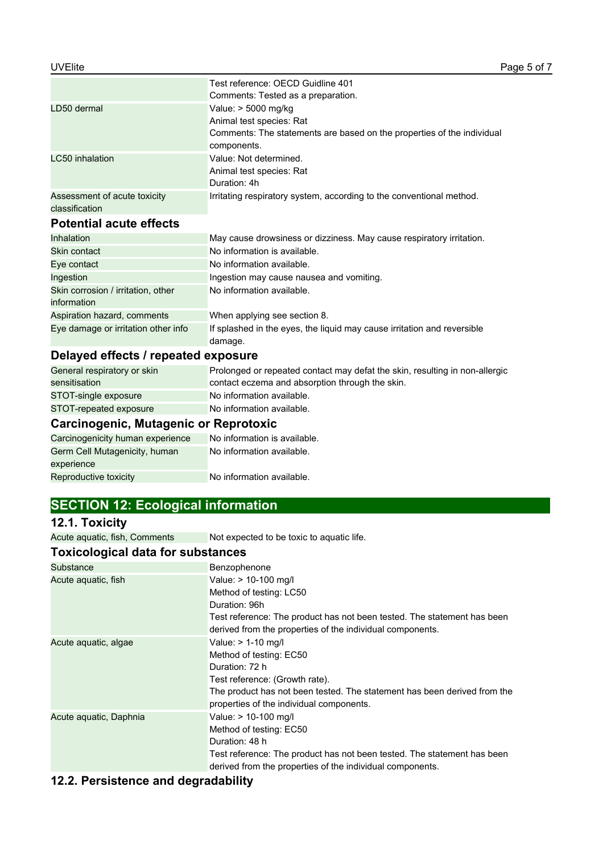|                                                | Test reference: OECD Guidline 401                                      |
|------------------------------------------------|------------------------------------------------------------------------|
|                                                | Comments: Tested as a preparation.                                     |
| LD50 dermal                                    | Value: $> 5000$ mg/kg                                                  |
|                                                | Animal test species: Rat                                               |
|                                                | Comments: The statements are based on the properties of the individual |
|                                                | components.                                                            |
| LC50 inhalation                                | Value: Not determined.                                                 |
|                                                | Animal test species: Rat                                               |
|                                                | Duration: 4h                                                           |
| Assessment of acute toxicity<br>classification | Irritating respiratory system, according to the conventional method.   |

### **Potential acute effects**

| Inhalation                                        | May cause drowsiness or dizziness. May cause respiratory irritation.               |
|---------------------------------------------------|------------------------------------------------------------------------------------|
| Skin contact                                      | No information is available.                                                       |
| Eye contact                                       | No information available.                                                          |
| Ingestion                                         | Ingestion may cause nausea and vomiting.                                           |
| Skin corrosion / irritation, other<br>information | No information available.                                                          |
| Aspiration hazard, comments                       | When applying see section 8.                                                       |
| Eye damage or irritation other info               | If splashed in the eyes, the liquid may cause irritation and reversible<br>damage. |

# **Delayed effects / repeated exposure**

| General respiratory or skin | Prolonged or repeated contact may defat the skin, resulting in non-allergic |
|-----------------------------|-----------------------------------------------------------------------------|
| sensitisation               | contact eczema and absorption through the skin.                             |
| STOT-single exposure        | No information available.                                                   |
| STOT-repeated exposure      | No information available.                                                   |

# **Carcinogenic, Mutagenic or Reprotoxic**

| Carcinogenicity human experience | No information is available. |
|----------------------------------|------------------------------|
| Germ Cell Mutagenicity, human    | No information available.    |
| experience                       |                              |
| Reproductive toxicity            | No information available.    |

# **SECTION 12: Ecological information**

## **12.1. Toxicity**

Acute aquatic, fish, Comments Not expected to be toxic to aquatic life.

# **Toxicological data for substances**

| Substance              | Benzophenone                                                             |
|------------------------|--------------------------------------------------------------------------|
| Acute aquatic, fish    | Value: > 10-100 mg/l                                                     |
|                        | Method of testing: LC50                                                  |
|                        | Duration: 96h                                                            |
|                        | Test reference: The product has not been tested. The statement has been  |
|                        | derived from the properties of the individual components.                |
| Acute aquatic, algae   | Value: $> 1-10$ mg/l                                                     |
|                        | Method of testing: EC50                                                  |
|                        | Duration: 72 h                                                           |
|                        | Test reference: (Growth rate).                                           |
|                        | The product has not been tested. The statement has been derived from the |
|                        | properties of the individual components.                                 |
| Acute aquatic, Daphnia | Value: > 10-100 mg/l                                                     |
|                        | Method of testing: EC50                                                  |
|                        | Duration: 48 h                                                           |
|                        | Test reference: The product has not been tested. The statement has been  |
|                        | derived from the properties of the individual components.                |

# **12.2. Persistence and degradability**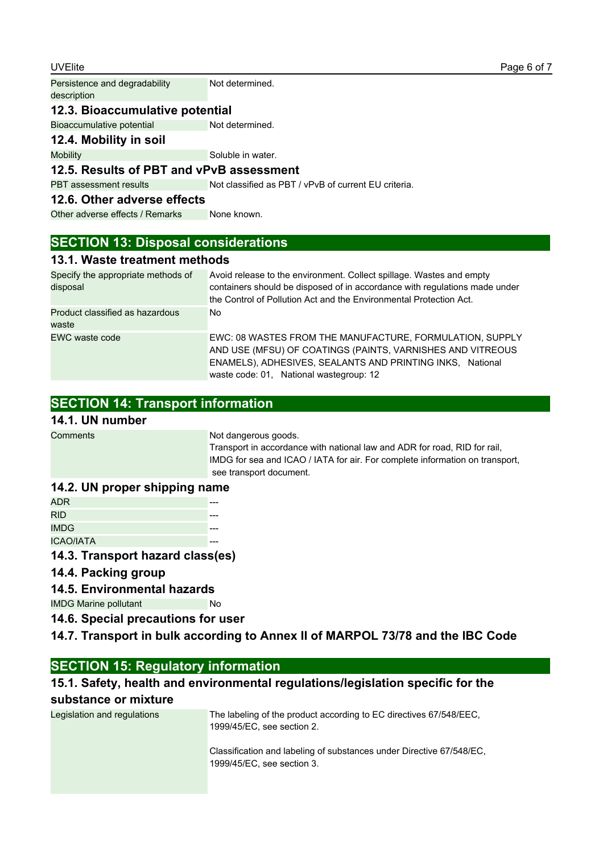| <b>UVElite</b>                               |                                                      | Page 6 of 7 |
|----------------------------------------------|------------------------------------------------------|-------------|
| Persistence and degradability<br>description | Not determined.                                      |             |
| 12.3. Bioaccumulative potential              |                                                      |             |
| Bioaccumulative potential                    | Not determined.                                      |             |
| 12.4. Mobility in soil                       |                                                      |             |
| <b>Mobility</b>                              | Soluble in water.                                    |             |
| 12.5. Results of PBT and vPvB assessment     |                                                      |             |
| <b>PBT</b> assessment results                | Not classified as PBT / vPvB of current EU criteria. |             |
| 12.6. Other adverse effects                  |                                                      |             |
| Other adverse effects / Remarks              | None known.                                          |             |

## **SECTION 13: Disposal considerations**

### **13.1. Waste treatment methods**

| Specify the appropriate methods of<br>disposal | Avoid release to the environment. Collect spillage. Wastes and empty<br>containers should be disposed of in accordance with regulations made under<br>the Control of Pollution Act and the Environmental Protection Act.       |
|------------------------------------------------|--------------------------------------------------------------------------------------------------------------------------------------------------------------------------------------------------------------------------------|
| Product classified as hazardous<br>waste       | No.                                                                                                                                                                                                                            |
| EWC waste code                                 | EWC: 08 WASTES FROM THE MANUFACTURE, FORMULATION, SUPPLY<br>AND USE (MFSU) OF COATINGS (PAINTS, VARNISHES AND VITREOUS<br>ENAMELS), ADHESIVES, SEALANTS AND PRINTING INKS, National<br>waste code: 01, National wastegroup: 12 |

# **SECTION 14: Transport information**

# **14.1. UN number**

**Comments Not dangerous goods.** 

Transport in accordance with national law and ADR for road, RID for rail, IMDG for sea and ICAO / IATA for air. For complete information on transport, see transport document.

### **14.2. UN proper shipping name**

| <b>ADR</b>       |  |
|------------------|--|
| <b>RID</b>       |  |
| <b>IMDG</b>      |  |
| <b>ICAO/IATA</b> |  |

### **14.3. Transport hazard class(es)**

### **14.4. Packing group**

### **14.5. Environmental hazards**

IMDG Marine pollutant No

**14.6. Special precautions for user**

**14.7. Transport in bulk according to Annex II of MARPOL 73/78 and the IBC Code**

### **SECTION 15: Regulatory information**

### **15.1. Safety, health and environmental regulations/legislation specific for the substance or mixture**

| Legislation and regulations | The labeling of the product according to EC directives 67/548/EEC.<br>1999/45/EC, see section 2.   |
|-----------------------------|----------------------------------------------------------------------------------------------------|
|                             | Classification and labeling of substances under Directive 67/548/EC,<br>1999/45/EC, see section 3. |